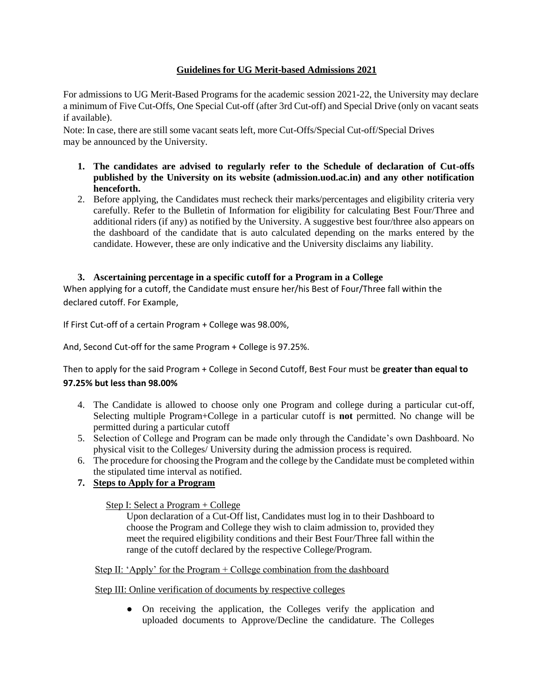# **Guidelines for UG Merit-based Admissions 2021**

For admissions to UG Merit-Based Programs for the academic session 2021-22, the University may declare a minimum of Five Cut-Offs, One Special Cut-off (after 3rd Cut-off) and Special Drive (only on vacant seats if available).

Note: In case, there are still some vacant seats left, more Cut-Offs/Special Cut-off/Special Drives may be announced by the University.

- **1. The candidates are advised to regularly refer to the Schedule of declaration of Cut-offs published by the University on its website (admission.uod.ac.in) and any other notification henceforth.**
- 2. Before applying, the Candidates must recheck their marks/percentages and eligibility criteria very carefully. Refer to the Bulletin of Information for eligibility for calculating Best Four/Three and additional riders (if any) as notified by the University. A suggestive best four/three also appears on the dashboard of the candidate that is auto calculated depending on the marks entered by the candidate. However, these are only indicative and the University disclaims any liability.

# **3. Ascertaining percentage in a specific cutoff for a Program in a College**

When applying for a cutoff, the Candidate must ensure her/his Best of Four/Three fall within the declared cutoff. For Example,

If First Cut-off of a certain Program + College was 98.00%,

And, Second Cut-off for the same Program + College is 97.25%.

Then to apply for the said Program + College in Second Cutoff, Best Four must be **greater than equal to 97.25% but less than 98.00%**

- 4. The Candidate is allowed to choose only one Program and college during a particular cut-off, Selecting multiple Program+College in a particular cutoff is **not** permitted. No change will be permitted during a particular cutoff
- 5. Selection of College and Program can be made only through the Candidate's own Dashboard. No physical visit to the Colleges/ University during the admission process is required.
- 6. The procedure for choosing the Program and the college by the Candidate must be completed within the stipulated time interval as notified.

# **7. Steps to Apply for a Program**

# Step I: Select a Program + College

Upon declaration of a Cut-Off list, Candidates must log in to their Dashboard to choose the Program and College they wish to claim admission to, provided they meet the required eligibility conditions and their Best Four/Three fall within the range of the cutoff declared by the respective College/Program.

# Step II: 'Apply' for the Program + College combination from the dashboard

# Step III: Online verification of documents by respective colleges

● On receiving the application, the Colleges verify the application and uploaded documents to Approve/Decline the candidature. The Colleges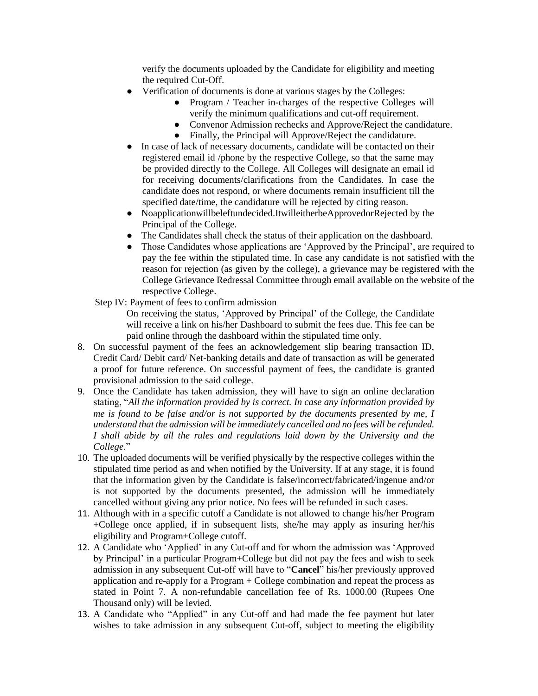verify the documents uploaded by the Candidate for eligibility and meeting the required Cut-Off.

- Verification of documents is done at various stages by the Colleges:
	- Program / Teacher in-charges of the respective Colleges will verify the minimum qualifications and cut-off requirement.
	- Convenor Admission rechecks and Approve/Reject the candidature.
	- Finally, the Principal will Approve/Reject the candidature.
- In case of lack of necessary documents, candidate will be contacted on their registered email id /phone by the respective College, so that the same may be provided directly to the College. All Colleges will designate an email id for receiving documents/clarifications from the Candidates. In case the candidate does not respond, or where documents remain insufficient till the specified date/time, the candidature will be rejected by citing reason.
- Noapplicationwillbeleftundecided.ItwilleitherbeApprovedorRejected by the Principal of the College.
- The Candidates shall check the status of their application on the dashboard.
- Those Candidates whose applications are 'Approved by the Principal', are required to pay the fee within the stipulated time. In case any candidate is not satisfied with the reason for rejection (as given by the college), a grievance may be registered with the College Grievance Redressal Committee through email available on the website of the respective College.
- Step IV: Payment of fees to confirm admission
	- On receiving the status, 'Approved by Principal' of the College, the Candidate will receive a link on his/her Dashboard to submit the fees due. This fee can be paid online through the dashboard within the stipulated time only.
- 8. On successful payment of the fees an acknowledgement slip bearing transaction ID, Credit Card/ Debit card/ Net-banking details and date of transaction as will be generated a proof for future reference. On successful payment of fees, the candidate is granted provisional admission to the said college.
- 9. Once the Candidate has taken admission, they will have to sign an online declaration stating, "*All the information provided by is correct. In case any information provided by me is found to be false and/or is not supported by the documents presented by me, I understand that the admission will be immediately cancelled and no fees will be refunded. I shall abide by all the rules and regulations laid down by the University and the College*."
- 10. The uploaded documents will be verified physically by the respective colleges within the stipulated time period as and when notified by the University. If at any stage, it is found that the information given by the Candidate is false/incorrect/fabricated/ingenue and/or is not supported by the documents presented, the admission will be immediately cancelled without giving any prior notice. No fees will be refunded in such cases.
- 11. Although with in a specific cutoff a Candidate is not allowed to change his/her Program +College once applied, if in subsequent lists, she/he may apply as insuring her/his eligibility and Program+College cutoff.
- 12. A Candidate who 'Applied' in any Cut-off and for whom the admission was 'Approved by Principal' in a particular Program+College but did not pay the fees and wish to seek admission in any subsequent Cut-off will have to "**Cancel**" his/her previously approved application and re-apply for a Program + College combination and repeat the process as stated in Point 7. A non-refundable cancellation fee of Rs. 1000.00 (Rupees One Thousand only) will be levied.
- 13. A Candidate who "Applied" in any Cut-off and had made the fee payment but later wishes to take admission in any subsequent Cut-off, subject to meeting the eligibility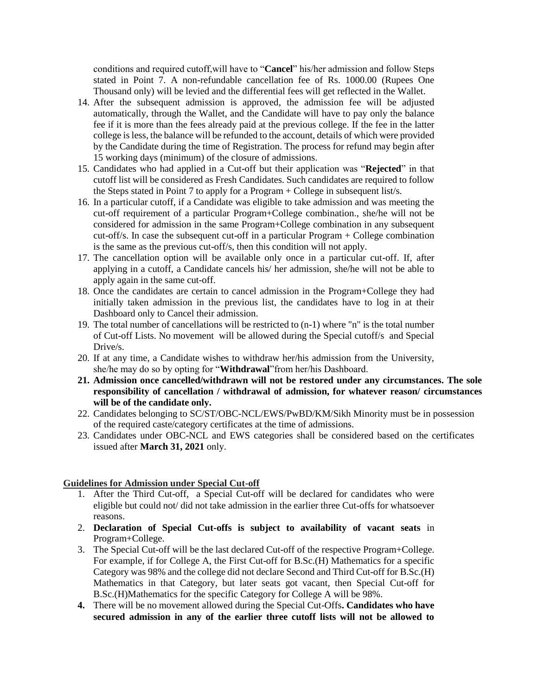conditions and required cutoff,will have to "**Cancel**" his/her admission and follow Steps stated in Point 7. A non-refundable cancellation fee of Rs. 1000.00 (Rupees One Thousand only) will be levied and the differential fees will get reflected in the Wallet.

- 14. After the subsequent admission is approved, the admission fee will be adjusted automatically, through the Wallet, and the Candidate will have to pay only the balance fee if it is more than the fees already paid at the previous college. If the fee in the latter college isless, the balance will be refunded to the account, details of which were provided by the Candidate during the time of Registration. The process for refund may begin after 15 working days (minimum) of the closure of admissions.
- 15. Candidates who had applied in a Cut-off but their application was "**Rejected**" in that cutoff list will be considered as Fresh Candidates. Such candidates are required to follow the Steps stated in Point 7 to apply for a Program + College in subsequent list/s.
- 16. In a particular cutoff, if a Candidate was eligible to take admission and was meeting the cut-off requirement of a particular Program+College combination., she/he will not be considered for admission in the same Program+College combination in any subsequent cut-off/s. In case the subsequent cut-off in a particular Program + College combination is the same as the previous cut-off/s, then this condition will not apply.
- 17. The cancellation option will be available only once in a particular cut-off. If, after applying in a cutoff, a Candidate cancels his/ her admission, she/he will not be able to apply again in the same cut-off.
- 18. Once the candidates are certain to cancel admission in the Program+College they had initially taken admission in the previous list, the candidates have to log in at their Dashboard only to Cancel their admission.
- 19. The total number of cancellations will be restricted to (n-1) where "n" is the total number of Cut-off Lists. No movement will be allowed during the Special cutoff/s and Special Drive/s.
- 20. If at any time, a Candidate wishes to withdraw her/his admission from the University, she/he may do so by opting for "**Withdrawal**"from her/his Dashboard.
- **21. Admission once cancelled/withdrawn will not be restored under any circumstances. The sole responsibility of cancellation / withdrawal of admission, for whatever reason/ circumstances will be of the candidate only.**
- 22. Candidates belonging to SC/ST/OBC-NCL/EWS/PwBD/KM/Sikh Minority must be in possession of the required caste/category certificates at the time of admissions.
- 23. Candidates under OBC-NCL and EWS categories shall be considered based on the certificates issued after **March 31, 2021** only.

### **Guidelines for Admission under Special Cut-off**

- 1. After the Third Cut-off, a Special Cut-off will be declared for candidates who were eligible but could not/ did not take admission in the earlier three Cut-offs for whatsoever reasons.
- 2. **Declaration of Special Cut-offs is subject to availability of vacant seats** in Program+College.
- 3. The Special Cut-off will be the last declared Cut-off of the respective Program+College. For example, if for College A, the First Cut-off for B.Sc.(H) Mathematics for a specific Category was 98% and the college did not declare Second and Third Cut-off for B.Sc.(H) Mathematics in that Category, but later seats got vacant, then Special Cut-off for B.Sc.(H)Mathematics for the specific Category for College A will be 98%.
- **4.** There will be no movement allowed during the Special Cut-Offs**. Candidates who have secured admission in any of the earlier three cutoff lists will not be allowed to**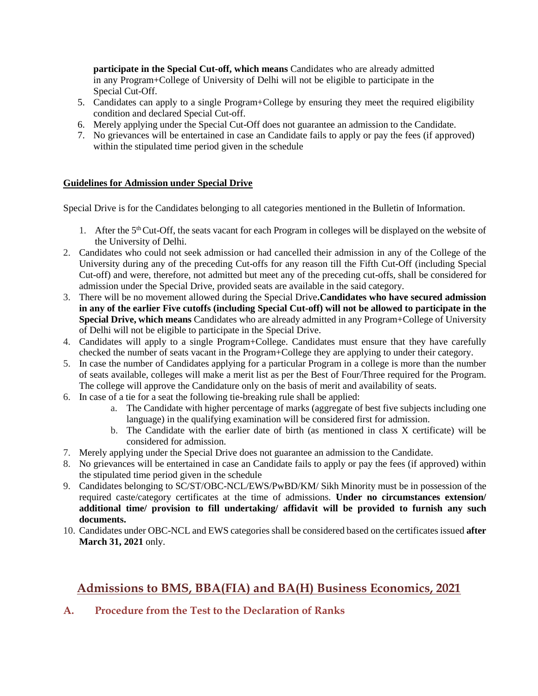**participate in the Special Cut-off, which means** Candidates who are already admitted in any Program+College of University of Delhi will not be eligible to participate in the Special Cut-Off.

- 5. Candidates can apply to a single Program+College by ensuring they meet the required eligibility condition and declared Special Cut-off.
- 6. Merely applying under the Special Cut-Off does not guarantee an admission to the Candidate.
- 7. No grievances will be entertained in case an Candidate fails to apply or pay the fees (if approved) within the stipulated time period given in the schedule

# **Guidelines for Admission under Special Drive**

Special Drive is for the Candidates belonging to all categories mentioned in the Bulletin of Information.

- 1. After the 5<sup>th</sup> Cut-Off, the seats vacant for each Program in colleges will be displayed on the website of the University of Delhi.
- 2. Candidates who could not seek admission or had cancelled their admission in any of the College of the University during any of the preceding Cut-offs for any reason till the Fifth Cut-Off (including Special Cut-off) and were, therefore, not admitted but meet any of the preceding cut-offs, shall be considered for admission under the Special Drive, provided seats are available in the said category.
- 3. There will be no movement allowed during the Special Drive**.Candidates who have secured admission in any of the earlier Five cutoffs (including Special Cut-off) will not be allowed to participate in the Special Drive, which means** Candidates who are already admitted in any Program+College of University of Delhi will not be eligible to participate in the Special Drive.
- 4. Candidates will apply to a single Program+College. Candidates must ensure that they have carefully checked the number of seats vacant in the Program+College they are applying to under their category.
- 5. In case the number of Candidates applying for a particular Program in a college is more than the number of seats available, colleges will make a merit list as per the Best of Four/Three required for the Program. The college will approve the Candidature only on the basis of merit and availability of seats.
- 6. In case of a tie for a seat the following tie-breaking rule shall be applied:
	- a. The Candidate with higher percentage of marks (aggregate of best five subjects including one language) in the qualifying examination will be considered first for admission.
	- b. The Candidate with the earlier date of birth (as mentioned in class X certificate) will be considered for admission.
- 7. Merely applying under the Special Drive does not guarantee an admission to the Candidate.
- 8. No grievances will be entertained in case an Candidate fails to apply or pay the fees (if approved) within the stipulated time period given in the schedule
- 9. Candidates belonging to SC/ST/OBC-NCL/EWS/PwBD/KM/ Sikh Minority must be in possession of the required caste/category certificates at the time of admissions. **Under no circumstances extension/ additional time/ provision to fill undertaking/ affidavit will be provided to furnish any such documents.**
- 10. Candidates under OBC-NCL and EWS categories shall be considered based on the certificates issued **after March 31, 2021** only.

# **Admissions to BMS, BBA(FIA) and BA(H) Business Economics, 2021**

**A. Procedure from the Test to the Declaration of Ranks**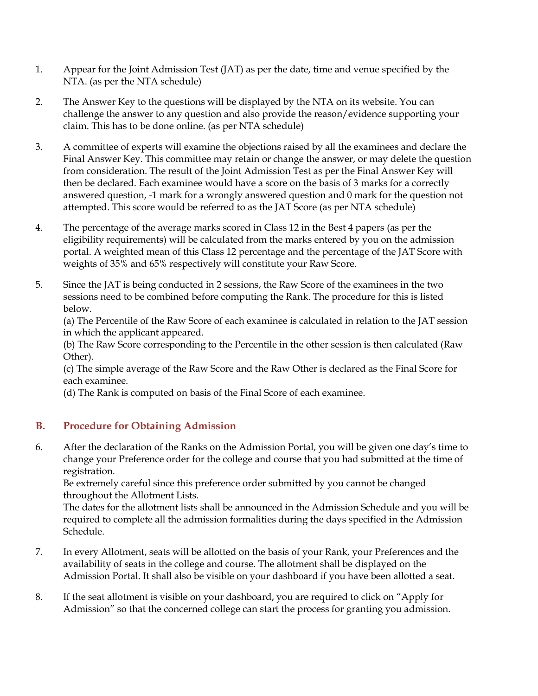- 1. Appear for the Joint Admission Test (JAT) as per the date, time and venue specified by the NTA. (as per the NTA schedule)
- 2. The Answer Key to the questions will be displayed by the NTA on its website. You can challenge the answer to any question and also provide the reason/evidence supporting your claim. This has to be done online. (as per NTA schedule)
- 3. A committee of experts will examine the objections raised by all the examinees and declare the Final Answer Key. This committee may retain or change the answer, or may delete the question from consideration. The result of the Joint Admission Test as per the Final Answer Key will then be declared. Each examinee would have a score on the basis of 3 marks for a correctly answered question, -1 mark for a wrongly answered question and 0 mark for the question not attempted. This score would be referred to as the JAT Score (as per NTA schedule)
- 4. The percentage of the average marks scored in Class 12 in the Best 4 papers (as per the eligibility requirements) will be calculated from the marks entered by you on the admission portal. A weighted mean of this Class 12 percentage and the percentage of the JAT Score with weights of 35% and 65% respectively will constitute your Raw Score.
- 5. Since the JAT is being conducted in 2 sessions, the Raw Score of the examinees in the two sessions need to be combined before computing the Rank. The procedure for this is listed below.

(a) The Percentile of the Raw Score of each examinee is calculated in relation to the JAT session in which the applicant appeared.

(b) The Raw Score corresponding to the Percentile in the other session is then calculated (Raw Other).

(c) The simple average of the Raw Score and the Raw Other is declared as the Final Score for each examinee.

(d) The Rank is computed on basis of the Final Score of each examinee.

# **B. Procedure for Obtaining Admission**

6. After the declaration of the Ranks on the Admission Portal, you will be given one day's time to change your Preference order for the college and course that you had submitted at the time of registration.

Be extremely careful since this preference order submitted by you cannot be changed throughout the Allotment Lists.

The dates for the allotment lists shall be announced in the Admission Schedule and you will be required to complete all the admission formalities during the days specified in the Admission Schedule.

- 7. In every Allotment, seats will be allotted on the basis of your Rank, your Preferences and the availability of seats in the college and course. The allotment shall be displayed on the Admission Portal. It shall also be visible on your dashboard if you have been allotted a seat.
- 8. If the seat allotment is visible on your dashboard, you are required to click on "Apply for Admission" so that the concerned college can start the process for granting you admission.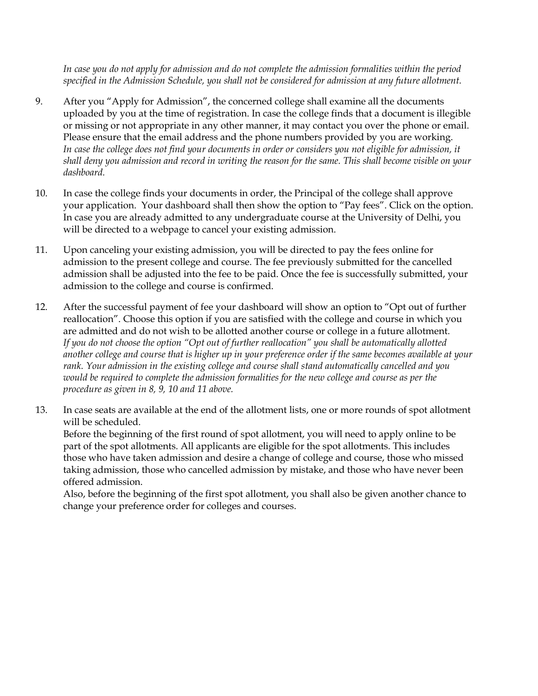*In case you do not apply for admission and do not complete the admission formalities within the period specified in the Admission Schedule, you shall not be considered for admission at any future allotment.*

- 9. After you "Apply for Admission", the concerned college shall examine all the documents uploaded by you at the time of registration. In case the college finds that a document is illegible or missing or not appropriate in any other manner, it may contact you over the phone or email. Please ensure that the email address and the phone numbers provided by you are working. *In case the college does not find your documents in order or considers you not eligible for admission, it shall deny you admission and record in writing the reason for the same. This shall become visible on your dashboard.*
- 10. In case the college finds your documents in order, the Principal of the college shall approve your application. Your dashboard shall then show the option to "Pay fees". Click on the option. In case you are already admitted to any undergraduate course at the University of Delhi, you will be directed to a webpage to cancel your existing admission.
- 11. Upon canceling your existing admission, you will be directed to pay the fees online for admission to the present college and course. The fee previously submitted for the cancelled admission shall be adjusted into the fee to be paid. Once the fee is successfully submitted, your admission to the college and course is confirmed.
- 12. After the successful payment of fee your dashboard will show an option to "Opt out of further reallocation". Choose this option if you are satisfied with the college and course in which you are admitted and do not wish to be allotted another course or college in a future allotment. *If you do not choose the option "Opt out of further reallocation" you shall be automatically allotted another college and course that is higher up in your preference order if the same becomes available at your rank. Your admission in the existing college and course shall stand automatically cancelled and you would be required to complete the admission formalities for the new college and course as per the procedure as given in 8, 9, 10 and 11 above.*
- 13. In case seats are available at the end of the allotment lists, one or more rounds of spot allotment will be scheduled.

Before the beginning of the first round of spot allotment, you will need to apply online to be part of the spot allotments. All applicants are eligible for the spot allotments. This includes those who have taken admission and desire a change of college and course, those who missed taking admission, those who cancelled admission by mistake, and those who have never been offered admission.

Also, before the beginning of the first spot allotment, you shall also be given another chance to change your preference order for colleges and courses.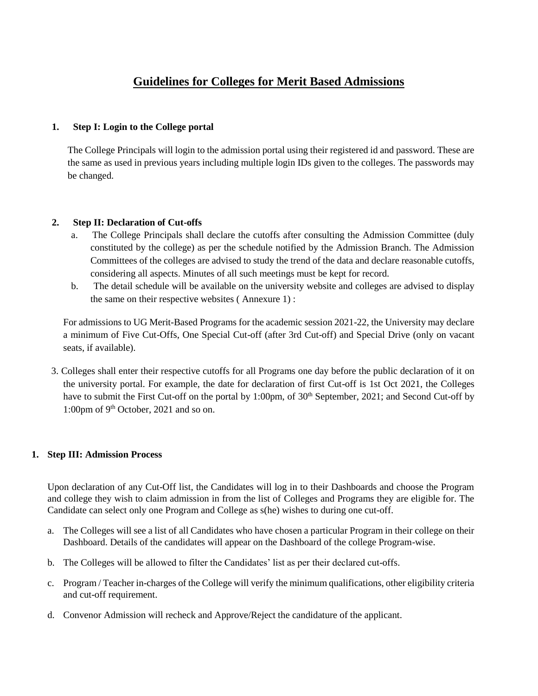# **Guidelines for Colleges for Merit Based Admissions**

### **1. Step I: Login to the College portal**

The College Principals will login to the admission portal using their registered id and password. These are the same as used in previous years including multiple login IDs given to the colleges. The passwords may be changed.

### **2. Step II: Declaration of Cut-offs**

- a. The College Principals shall declare the cutoffs after consulting the Admission Committee (duly constituted by the college) as per the schedule notified by the Admission Branch. The Admission Committees of the colleges are advised to study the trend of the data and declare reasonable cutoffs, considering all aspects. Minutes of all such meetings must be kept for record.
- b. The detail schedule will be available on the university website and colleges are advised to display the same on their respective websites ( Annexure 1) :

For admissions to UG Merit-Based Programs for the academic session 2021-22, the University may declare a minimum of Five Cut-Offs, One Special Cut-off (after 3rd Cut-off) and Special Drive (only on vacant seats, if available).

3. Colleges shall enter their respective cutoffs for all Programs one day before the public declaration of it on the university portal. For example, the date for declaration of first Cut-off is 1st Oct 2021, the Colleges have to submit the First Cut-off on the portal by 1:00pm, of 30<sup>th</sup> September, 2021; and Second Cut-off by 1:00pm of 9<sup>th</sup> October, 2021 and so on.

### **1. Step III: Admission Process**

Upon declaration of any Cut-Off list, the Candidates will log in to their Dashboards and choose the Program and college they wish to claim admission in from the list of Colleges and Programs they are eligible for. The Candidate can select only one Program and College as s(he) wishes to during one cut-off.

- a. The Colleges will see a list of all Candidates who have chosen a particular Program in their college on their Dashboard. Details of the candidates will appear on the Dashboard of the college Program-wise.
- b. The Colleges will be allowed to filter the Candidates' list as per their declared cut-offs.
- c. Program / Teacher in-charges of the College will verify the minimum qualifications, other eligibility criteria and cut-off requirement.
- d. Convenor Admission will recheck and Approve/Reject the candidature of the applicant.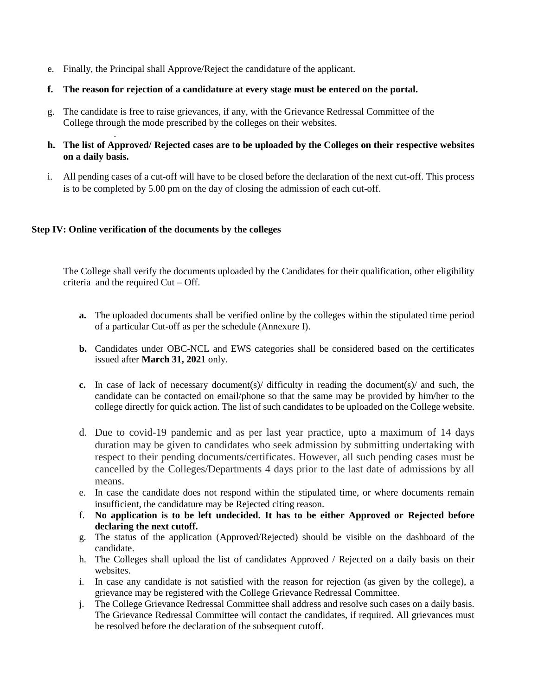- e. Finally, the Principal shall Approve/Reject the candidature of the applicant.
- **f. The reason for rejection of a candidature at every stage must be entered on the portal.**
- g. The candidate is free to raise grievances, if any, with the Grievance Redressal Committee of the College through the mode prescribed by the colleges on their websites.
- **h. The list of Approved/ Rejected cases are to be uploaded by the Colleges on their respective websites on a daily basis.**
- i. All pending cases of a cut-off will have to be closed before the declaration of the next cut-off. This process is to be completed by 5.00 pm on the day of closing the admission of each cut-off.

### **Step IV: Online verification of the documents by the colleges**

.

The College shall verify the documents uploaded by the Candidates for their qualification, other eligibility criteria and the required Cut – Off.

- **a.** The uploaded documents shall be verified online by the colleges within the stipulated time period of a particular Cut-off as per the schedule (Annexure I).
- **b.** Candidates under OBC-NCL and EWS categories shall be considered based on the certificates issued after **March 31, 2021** only.
- **c.** In case of lack of necessary document(s)/ difficulty in reading the document(s)/ and such, the candidate can be contacted on email/phone so that the same may be provided by him/her to the college directly for quick action. The list of such candidates to be uploaded on the College website.
- d. Due to covid-19 pandemic and as per last year practice, upto a maximum of 14 days duration may be given to candidates who seek admission by submitting undertaking with respect to their pending documents/certificates. However, all such pending cases must be cancelled by the Colleges/Departments 4 days prior to the last date of admissions by all means.
- e. In case the candidate does not respond within the stipulated time, or where documents remain insufficient, the candidature may be Rejected citing reason.
- f. **No application is to be left undecided. It has to be either Approved or Rejected before declaring the next cutoff.**
- g. The status of the application (Approved/Rejected) should be visible on the dashboard of the candidate.
- h. The Colleges shall upload the list of candidates Approved / Rejected on a daily basis on their websites.
- i. In case any candidate is not satisfied with the reason for rejection (as given by the college), a grievance may be registered with the College Grievance Redressal Committee.
- j. The College Grievance Redressal Committee shall address and resolve such cases on a daily basis. The Grievance Redressal Committee will contact the candidates, if required. All grievances must be resolved before the declaration of the subsequent cutoff.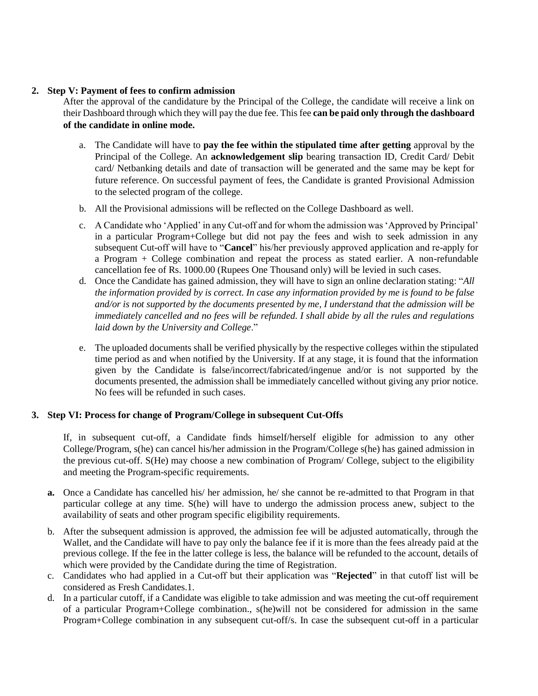### **2. Step V: Payment of fees to confirm admission**

After the approval of the candidature by the Principal of the College, the candidate will receive a link on their Dashboard through which they will pay the due fee. This fee **can be paid only through the dashboard of the candidate in online mode.** 

- a. The Candidate will have to **pay the fee within the stipulated time after getting** approval by the Principal of the College. An **acknowledgement slip** bearing transaction ID, Credit Card/ Debit card/ Netbanking details and date of transaction will be generated and the same may be kept for future reference. On successful payment of fees, the Candidate is granted Provisional Admission to the selected program of the college.
- b. All the Provisional admissions will be reflected on the College Dashboard as well.
- c. A Candidate who 'Applied' in any Cut-off and for whom the admission was 'Approved by Principal' in a particular Program+College but did not pay the fees and wish to seek admission in any subsequent Cut-off will have to "**Cancel**" his/her previously approved application and re-apply for a Program + College combination and repeat the process as stated earlier. A non-refundable cancellation fee of Rs. 1000.00 (Rupees One Thousand only) will be levied in such cases.
- d. Once the Candidate has gained admission, they will have to sign an online declaration stating: "*All the information provided by is correct. In case any information provided by me is found to be false and/or is not supported by the documents presented by me, I understand that the admission will be immediately cancelled and no fees will be refunded. I shall abide by all the rules and regulations laid down by the University and College*."
- e. The uploaded documents shall be verified physically by the respective colleges within the stipulated time period as and when notified by the University. If at any stage, it is found that the information given by the Candidate is false/incorrect/fabricated/ingenue and/or is not supported by the documents presented, the admission shall be immediately cancelled without giving any prior notice. No fees will be refunded in such cases.

# **3. Step VI: Process for change of Program/College in subsequent Cut-Offs**

If, in subsequent cut-off, a Candidate finds himself/herself eligible for admission to any other College/Program, s(he) can cancel his/her admission in the Program/College s(he) has gained admission in the previous cut-off. S(He) may choose a new combination of Program/ College, subject to the eligibility and meeting the Program-specific requirements.

- **a.** Once a Candidate has cancelled his/ her admission, he/ she cannot be re-admitted to that Program in that particular college at any time. S(he) will have to undergo the admission process anew, subject to the availability of seats and other program specific eligibility requirements.
- b. After the subsequent admission is approved, the admission fee will be adjusted automatically, through the Wallet, and the Candidate will have to pay only the balance fee if it is more than the fees already paid at the previous college. If the fee in the latter college is less, the balance will be refunded to the account, details of which were provided by the Candidate during the time of Registration.
- c. Candidates who had applied in a Cut-off but their application was "**Rejected**" in that cutoff list will be considered as Fresh Candidates.1.
- d. In a particular cutoff, if a Candidate was eligible to take admission and was meeting the cut-off requirement of a particular Program+College combination., s(he)will not be considered for admission in the same Program+College combination in any subsequent cut-off/s. In case the subsequent cut-off in a particular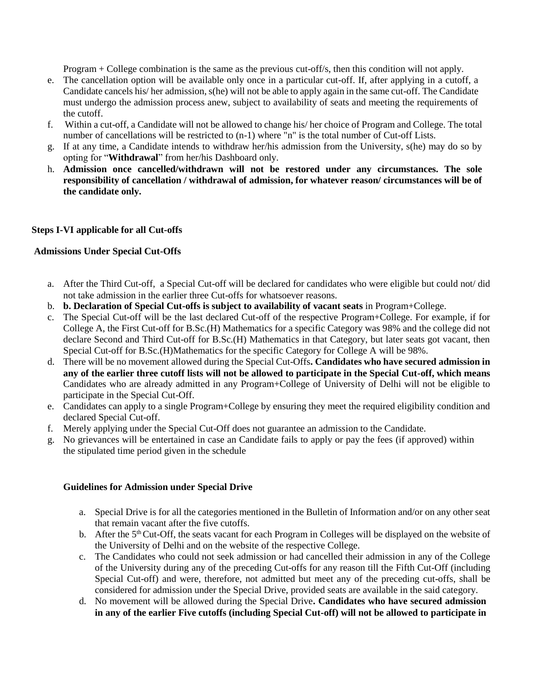Program + College combination is the same as the previous cut-off/s, then this condition will not apply.

- e. The cancellation option will be available only once in a particular cut-off. If, after applying in a cutoff, a Candidate cancels his/ her admission, s(he) will not be able to apply again in the same cut-off. The Candidate must undergo the admission process anew, subject to availability of seats and meeting the requirements of the cutoff.
- f. Within a cut-off, a Candidate will not be allowed to change his/ her choice of Program and College. The total number of cancellations will be restricted to (n-1) where "n" is the total number of Cut-off Lists.
- g. If at any time, a Candidate intends to withdraw her/his admission from the University, s(he) may do so by opting for "**Withdrawal**" from her/his Dashboard only.
- h. **Admission once cancelled/withdrawn will not be restored under any circumstances. The sole responsibility of cancellation / withdrawal of admission, for whatever reason/ circumstances will be of the candidate only.**

### **Steps I-VI applicable for all Cut-offs**

### **Admissions Under Special Cut-Offs**

- a. After the Third Cut-off, a Special Cut-off will be declared for candidates who were eligible but could not/ did not take admission in the earlier three Cut-offs for whatsoever reasons.
- b. **b. Declaration of Special Cut-offs is subject to availability of vacant seats** in Program+College.
- c. The Special Cut-off will be the last declared Cut-off of the respective Program+College. For example, if for College A, the First Cut-off for B.Sc.(H) Mathematics for a specific Category was 98% and the college did not declare Second and Third Cut-off for B.Sc.(H) Mathematics in that Category, but later seats got vacant, then Special Cut-off for B.Sc.(H)Mathematics for the specific Category for College A will be 98%.
- d. There will be no movement allowed during the Special Cut-Offs**. Candidates who have secured admission in any of the earlier three cutoff lists will not be allowed to participate in the Special Cut-off, which means**  Candidates who are already admitted in any Program+College of University of Delhi will not be eligible to participate in the Special Cut-Off.
- e. Candidates can apply to a single Program+College by ensuring they meet the required eligibility condition and declared Special Cut-off.
- f. Merely applying under the Special Cut-Off does not guarantee an admission to the Candidate.
- g. No grievances will be entertained in case an Candidate fails to apply or pay the fees (if approved) within the stipulated time period given in the schedule

### **Guidelines for Admission under Special Drive**

- a. Special Drive is for all the categories mentioned in the Bulletin of Information and/or on any other seat that remain vacant after the five cutoffs.
- b. After the  $5<sup>th</sup>$  Cut-Off, the seats vacant for each Program in Colleges will be displayed on the website of the University of Delhi and on the website of the respective College.
- c. The Candidates who could not seek admission or had cancelled their admission in any of the College of the University during any of the preceding Cut-offs for any reason till the Fifth Cut-Off (including Special Cut-off) and were, therefore, not admitted but meet any of the preceding cut-offs, shall be considered for admission under the Special Drive, provided seats are available in the said category.
- d. No movement will be allowed during the Special Drive**. Candidates who have secured admission in any of the earlier Five cutoffs (including Special Cut-off) will not be allowed to participate in**